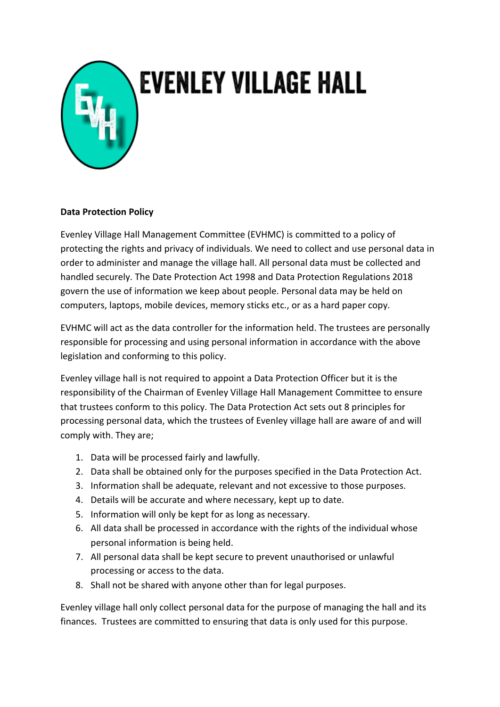

## **EVENLEY VILLAGE HALL**

## **Data Protection Policy**

Evenley Village Hall Management Committee (EVHMC) is committed to a policy of protecting the rights and privacy of individuals. We need to collect and use personal data in order to administer and manage the village hall. All personal data must be collected and handled securely. The Date Protection Act 1998 and Data Protection Regulations 2018 govern the use of information we keep about people. Personal data may be held on computers, laptops, mobile devices, memory sticks etc., or as a hard paper copy.

EVHMC will act as the data controller for the information held. The trustees are personally responsible for processing and using personal information in accordance with the above legislation and conforming to this policy.

Evenley village hall is not required to appoint a Data Protection Officer but it is the responsibility of the Chairman of Evenley Village Hall Management Committee to ensure that trustees conform to this policy. The Data Protection Act sets out 8 principles for processing personal data, which the trustees of Evenley village hall are aware of and will comply with. They are;

- 1. Data will be processed fairly and lawfully.
- 2. Data shall be obtained only for the purposes specified in the Data Protection Act.
- 3. Information shall be adequate, relevant and not excessive to those purposes.
- 4. Details will be accurate and where necessary, kept up to date.
- 5. Information will only be kept for as long as necessary.
- 6. All data shall be processed in accordance with the rights of the individual whose personal information is being held.
- 7. All personal data shall be kept secure to prevent unauthorised or unlawful processing or access to the data.
- 8. Shall not be shared with anyone other than for legal purposes.

Evenley village hall only collect personal data for the purpose of managing the hall and its finances. Trustees are committed to ensuring that data is only used for this purpose.